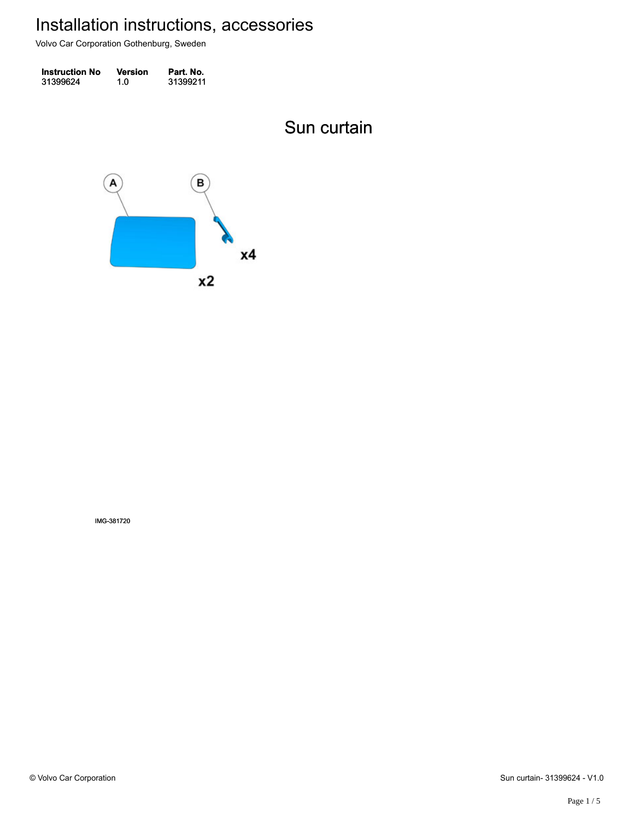Volvo Car Corporation Gothenburg, Sweden

| <b>Instruction No</b> | <b>Version</b> | Part. No. |
|-----------------------|----------------|-----------|
| 31399624              | 1.0            | 31399211  |

Sun curtain Sun curtain



IMG-381720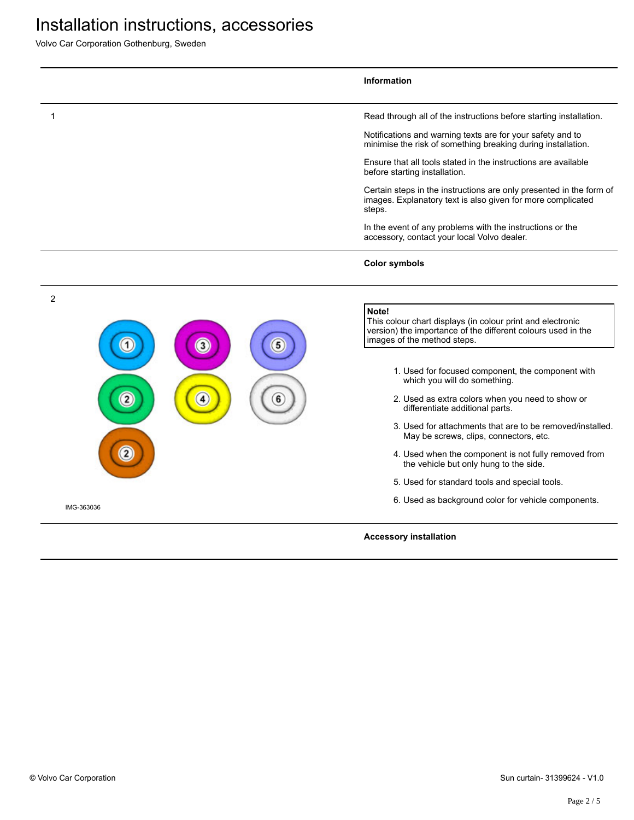Volvo Car Corporation Gothenburg, Sweden

|                | Information                                                                                                                                                        |
|----------------|--------------------------------------------------------------------------------------------------------------------------------------------------------------------|
| 1              | Read through all of the instructions before starting installation.                                                                                                 |
|                | Notifications and warning texts are for your safety and to<br>minimise the risk of something breaking during installation.                                         |
|                | Ensure that all tools stated in the instructions are available<br>before starting installation.                                                                    |
|                | Certain steps in the instructions are only presented in the form of<br>images. Explanatory text is also given for more complicated<br>steps.                       |
|                | In the event of any problems with the instructions or the<br>accessory, contact your local Volvo dealer.                                                           |
|                | <b>Color symbols</b>                                                                                                                                               |
| $\overline{2}$ |                                                                                                                                                                    |
| 3              | Note!<br>This colour chart displays (in colour print and electronic<br>version) the importance of the different colours used in the<br>images of the method steps. |
|                | 1. Used for focused component, the component with<br>which you will do something.                                                                                  |
|                | 2. Used as extra colors when you need to show or<br>differentiate additional parts.                                                                                |
|                | 3. Used for attachments that are to be removed/installed.<br>May be screws, clips, connectors, etc.                                                                |
|                | 4. Used when the component is not fully removed from<br>the vehicle but only hung to the side.                                                                     |
|                | 5. Used for standard tools and special tools.                                                                                                                      |
| IMG-363036     | 6. Used as background color for vehicle components.                                                                                                                |
|                | <b>Accessory installation</b>                                                                                                                                      |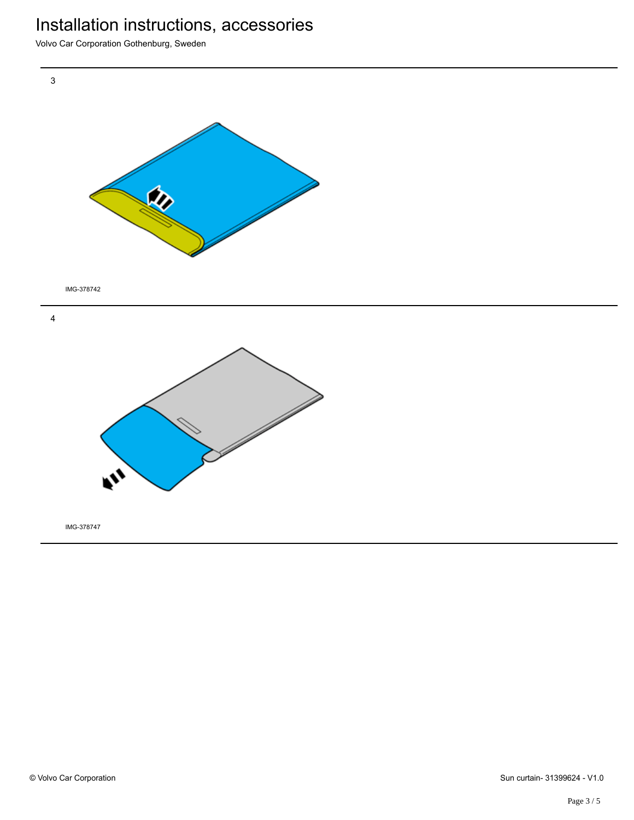Volvo Car Corporation Gothenburg, Sweden

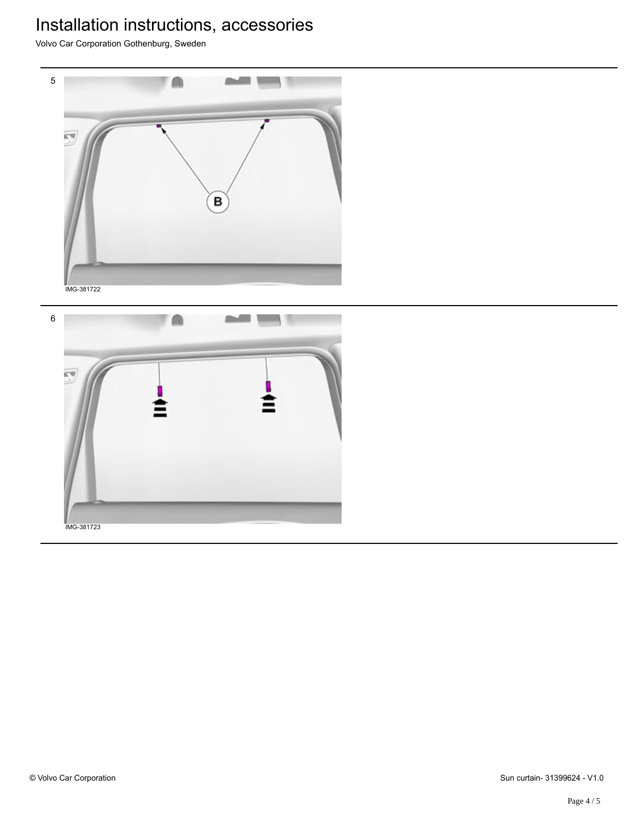Volvo Car Corporation Gothenburg, Sweden